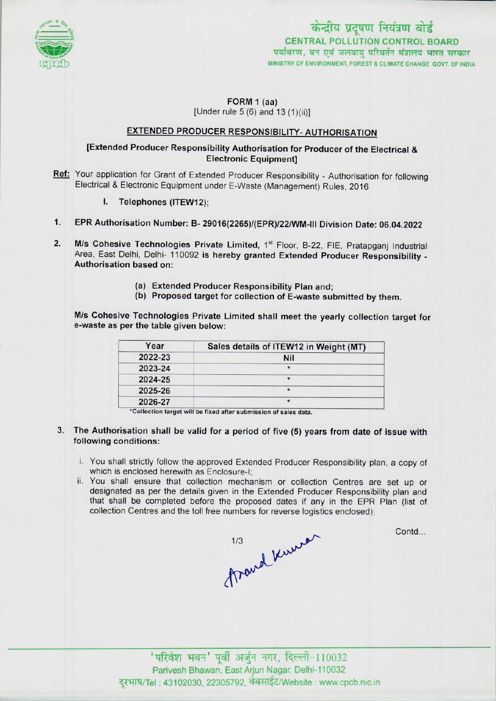

FORM 1 (aa) [Under rule 5 (6) and 13 (1)(ii)]

# EXTENDED PRODUCER RESPONSIBILITY- AUTHORISATION

### [Extended Producer Responsibility Authorisation for Producer of the Electrical & Electronic Equipment]

- Ref: Your application for Grant of Extended Producer Responsibility Authorisation for following Electrical & Electronic Equipment under E-Waste (Management) Rules, 2016
	- I. Telephones (ITEW12);
- 1.EPR Authorisation Number: B-29016(2265)/(EPR)/22/WM-lll Division Date: 06.04.2022
- 2. M/s Cohesive Technologies Private Limited, 1<sup>st</sup> Floor, B-22, FIE, Pratapgani Industrial Area, East Delhi, Delhi- 110092 is hereby granted Extended Producer Responsibility - Authorisation based on:
	- (a)Extended Producer Responsibility Plan and;
	- (b) Proposed target for collection of E-waste submitted by them.

M/s Cohesive Technologies Private Limited shall meet the yearly collection target for e-waste as per the table given below:

| Year    | Sales details of ITEW12 in Weight (MT) |
|---------|----------------------------------------|
| 2022-23 | <b>Nil</b>                             |
| 2023-24 |                                        |
| 2024-25 |                                        |
| 2025-26 |                                        |
| 2026-27 |                                        |

\*Collection target will be fixed after submission of sales data.

- 3. The Authorisation shall be valid for a period of five (5) years from date of issue with following conditions:
	- i. You shall strictly follow the approved Extended Producer Responsibility plan, a copy of which is enclosed herewith as Enclosure-I;
	- ii. You shall ensure that collection mechanism or collection Centres are set up or designated as per the details given in the Extended Producer Responsibility plan and that shall be completed before the proposed dates if any in the EPR Plan (list of collection Centres and the toll free numbers for reverse logistics enclosed);



Contd...

 $'$ परिवेश भवन' पूर्वी अर्जुन नगर, दिल्ली-110032 Parivesh Bhawan, East Arjun Nagar, Delhi-110032 दूरभाष/Tel : 43102030, 22305792, वेबसाईट/Website : www.cpcb.nic.in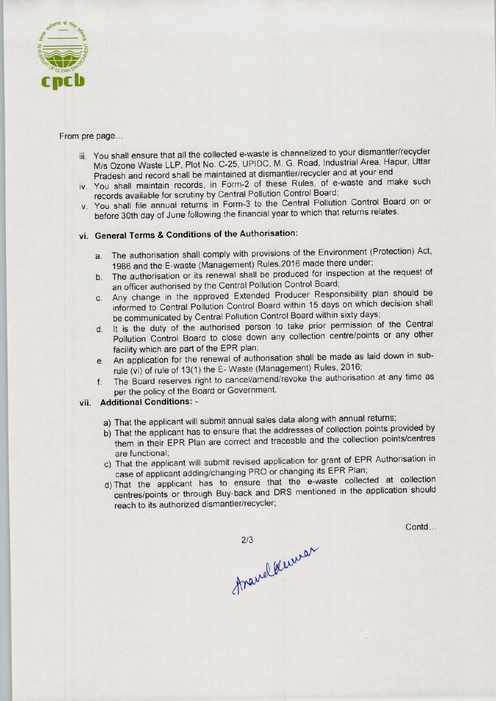

#### From pre page...

- iii. You shall ensure that all the collected e-waste is channelized to your dismantler/recycler M/s Ozone Waste LLP, Plot No. C-25, UPIDC, M. G. Road, Industrial Area, Hapur. Uttar Pradesh and record shall be maintained at dismantler/recycler and at your end
- iv. You shall maintain records, in Form-2 of these Rules, of e-waste and make such records available for scrutiny by Central Pollution Control Board;
- v. You shall file annual returns in Form-3 to the Central Pollution Control Board on or before 30th day of June following the financial year to which that returns relates.

## vi. General Terms & Conditions of the Authorisation:

- a.The authorisation shall comply with provisions of the Environment (Protection) Act, 1986 and the E-waste (Management) Rules, 2016 made there under;
- b.The authorisation or its renewal shall be produced for inspection at the request of an officer authorised by the Central Pollution Control Board;
- c.Any change in the approved Extended Producer Responsibility plan should be informed to Central Pollution Control Board within 15 days on which decision shall be communicated by Central Pollution Control Board within sixty days;
- d. It is the duty of the authorised person to take prior permission of the Central Pollution Control Board to close down any collection centre/points or any other facility which are part of the EPR plan;
- e. An application for the renewal of authorisation shall be made as laid down in subrule (vi) of rule of 13(1) the E- Waste (Management) Rules, 2016;
- f.The Board reserves right to cancel/amend/revoke the authorisation at any time as per the policy of the Board or Government.

## vii. Additional Conditions: -

- a) That the applicant will submit annual sales data along with annual returns;
- b) That the applicant has to ensure that the addresses of collection points provided by them in their EPR Plan are correct and traceable and the collection points/centres are functional;
- c) That the applicant will submit revised application for grant of EPR Authorisation in case of applicant adding/changing PRO or changing its EPR Plan;
- d)That the applicant has to ensure that the e-waste collected at collection centres/points or through Buy-back and DRS mentioned in the application should reach to its authorized dismantler/recycler;

Contd...